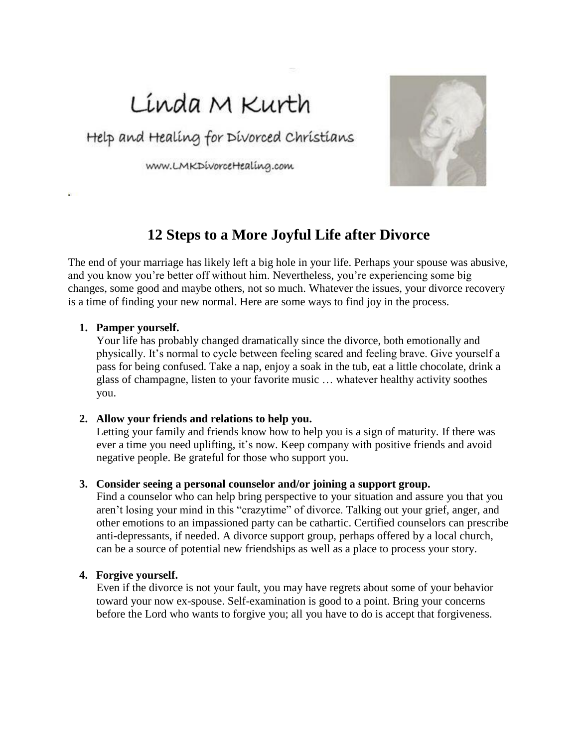# Línda M Kurth

Help and Healing for Divorced Christians

WWW.LMKDivorceHealing.com



# **12 Steps to a More Joyful Life after Divorce**

The end of your marriage has likely left a big hole in your life. Perhaps your spouse was abusive, and you know you're better off without him. Nevertheless, you're experiencing some big changes, some good and maybe others, not so much. Whatever the issues, your divorce recovery is a time of finding your new normal. Here are some ways to find joy in the process.

#### **1. Pamper yourself.**

Your life has probably changed dramatically since the divorce, both emotionally and physically. It's normal to cycle between feeling scared and feeling brave. Give yourself a pass for being confused. Take a nap, enjoy a soak in the tub, eat a little chocolate, drink a glass of champagne, listen to your favorite music … whatever healthy activity soothes you.

#### **2. Allow your friends and relations to help you.**

Letting your family and friends know how to help you is a sign of maturity. If there was ever a time you need uplifting, it's now. Keep company with positive friends and avoid negative people. Be grateful for those who support you.

#### **3. Consider seeing a personal counselor and/or joining a support group.**

Find a counselor who can help bring perspective to your situation and assure you that you aren't losing your mind in this "crazytime" of divorce. Talking out your grief, anger, and other emotions to an impassioned party can be cathartic. Certified counselors can prescribe anti-depressants, if needed. A divorce support group, perhaps offered by a local church, can be a source of potential new friendships as well as a place to process your story.

#### **4. Forgive yourself.**

Even if the divorce is not your fault, you may have regrets about some of your behavior toward your now ex-spouse. Self-examination is good to a point. Bring your concerns before the Lord who wants to forgive you; all you have to do is accept that forgiveness.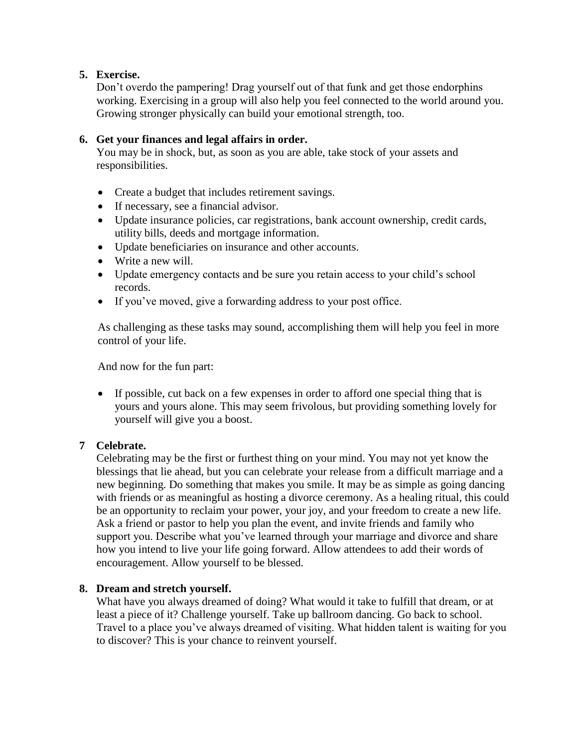# **5. Exercise.**

Don't overdo the pampering! Drag yourself out of that funk and get those endorphins working. Exercising in a group will also help you feel connected to the world around you. Growing stronger physically can build your emotional strength, too.

# **6. Get your finances and legal affairs in order.**

You may be in shock, but, as soon as you are able, take stock of your assets and responsibilities.

- Create a budget that includes retirement savings.
- If necessary, see a financial advisor.
- Update insurance policies, car registrations, bank account ownership, credit cards, utility bills, deeds and mortgage information.
- Update beneficiaries on insurance and other accounts.
- Write a new will.
- Update emergency contacts and be sure you retain access to your child's school records.
- If you've moved, give a forwarding address to your post office.

As challenging as these tasks may sound, accomplishing them will help you feel in more control of your life.

And now for the fun part:

 If possible, cut back on a few expenses in order to afford one special thing that is yours and yours alone. This may seem frivolous, but providing something lovely for yourself will give you a boost.

### **7 Celebrate.**

Celebrating may be the first or furthest thing on your mind. You may not yet know the blessings that lie ahead, but you can celebrate your release from a difficult marriage and a new beginning. Do something that makes you smile. It may be as simple as going dancing with friends or as meaningful as hosting a divorce ceremony. As a healing ritual, this could be an opportunity to reclaim your power, your joy, and your freedom to create a new life. Ask a friend or pastor to help you plan the event, and invite friends and family who support you. Describe what you've learned through your marriage and divorce and share how you intend to live your life going forward. Allow attendees to add their words of encouragement. Allow yourself to be blessed.

### **8. Dream and stretch yourself.**

What have you always dreamed of doing? What would it take to fulfill that dream, or at least a piece of it? Challenge yourself. Take up ballroom dancing. Go back to school. Travel to a place you've always dreamed of visiting. What hidden talent is waiting for you to discover? This is your chance to reinvent yourself.